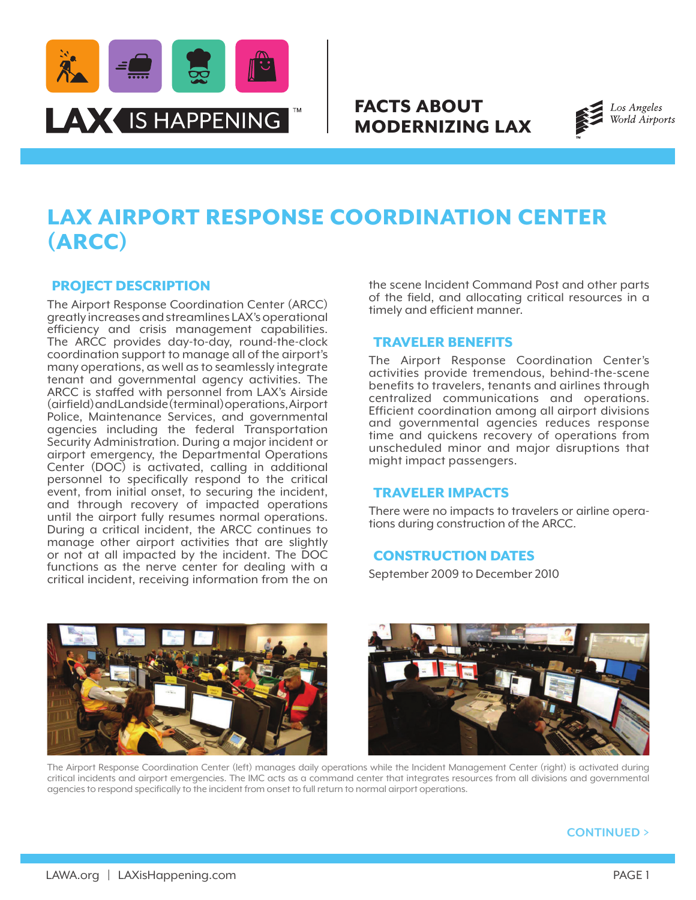

# FACTS ABOUT MODERNIZING LAX



# LAX AIRPORT RESPONSE COORDINATION CENTER (ARCC)

## PROJECT DESCRIPTION

The Airport Response Coordination Center (ARCC) greatly increases and streamlines LAX's operational efficiency and crisis management capabilities. The ARCC provides day-to-day, round-the-clock coordination support to manage all of the airport's many operations, as well as to seamlessly integrate tenant and governmental agency activities. The ARCC is staffed with personnel from LAX's Airside (airfield) and Landside (terminal) operations, Airport Police, Maintenance Services, and governmental agencies including the federal Transportation Security Administration. During a major incident or airport emergency, the Departmental Operations Center (DOC) is activated, calling in additional personnel to specifically respond to the critical event, from initial onset, to securing the incident, and through recovery of impacted operations until the airport fully resumes normal operations. During a critical incident, the ARCC continues to manage other airport activities that are slightly or not at all impacted by the incident. The DOC functions as the nerve center for dealing with a critical incident, receiving information from the on

the scene Incident Command Post and other parts of the field, and allocating critical resources in a timely and efficient manner.

### TRAVELER BENEFITS

The Airport Response Coordination Center's activities provide tremendous, behind-the-scene benefits to travelers, tenants and airlines through centralized communications and operations. Efficient coordination among all airport divisions and governmental agencies reduces response time and quickens recovery of operations from unscheduled minor and major disruptions that might impact passengers.

### TRAVELER IMPACTS

There were no impacts to travelers or airline opera- tions during construction of the ARCC.

### CONSTRUCTION DATES

September 2009 to December 2010





The Airport Response Coordination Center (left) manages daily operations while the Incident Management Center (right) is activated during critical incidents and airport emergencies. The IMC acts as a command center that integrates resources from all divisions and governmental agencies to respond specifically to the incident from onset to full return to normal airport operations.

### **CONTINUED >**